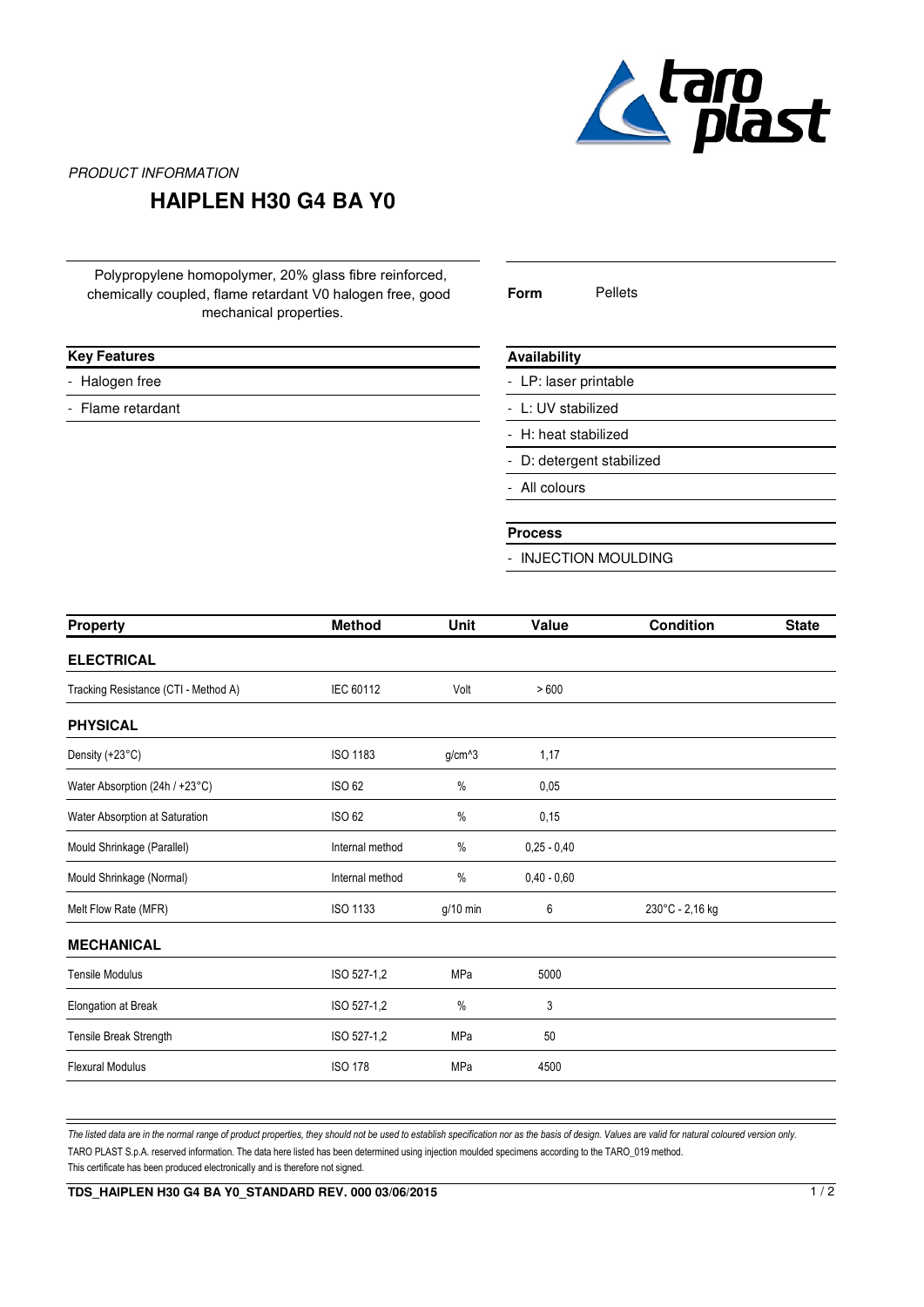

PRODUCT INFORMATION

# **HAIPLEN H30 G4 BA Y0**

Polypropylene homopolymer, 20% glass fibre reinforced, chemically coupled, flame retardant V0 halogen free, good mechanical properties.

**Form** Pellets

## **Key Features**

- Halogen free
- Flame retardant

### **Availability**

- LP: laser printable
- L: UV stabilized
- H: heat stabilized
- D: detergent stabilized
- All colours

#### **Process**

- INJECTION MOULDING

| <b>Property</b>                      | <b>Method</b>   | Unit       | Value         | <b>Condition</b> | <b>State</b> |
|--------------------------------------|-----------------|------------|---------------|------------------|--------------|
| <b>ELECTRICAL</b>                    |                 |            |               |                  |              |
| Tracking Resistance (CTI - Method A) | IEC 60112       | Volt       | >600          |                  |              |
| <b>PHYSICAL</b>                      |                 |            |               |                  |              |
| Density (+23°C)                      | <b>ISO 1183</b> | $g/cm^{3}$ | 1,17          |                  |              |
| Water Absorption (24h / +23°C)       | <b>ISO 62</b>   | %          | 0,05          |                  |              |
| Water Absorption at Saturation       | <b>ISO 62</b>   | %          | 0,15          |                  |              |
| Mould Shrinkage (Parallel)           | Internal method | %          | $0,25 - 0,40$ |                  |              |
| Mould Shrinkage (Normal)             | Internal method | $\%$       | $0,40 - 0,60$ |                  |              |
| Melt Flow Rate (MFR)                 | <b>ISO 1133</b> | $g/10$ min | 6             | 230°C - 2,16 kg  |              |
| <b>MECHANICAL</b>                    |                 |            |               |                  |              |
| <b>Tensile Modulus</b>               | ISO 527-1,2     | MPa        | 5000          |                  |              |
| Elongation at Break                  | ISO 527-1,2     | $\%$       | 3             |                  |              |
| Tensile Break Strength               | ISO 527-1,2     | MPa        | 50            |                  |              |
| <b>Flexural Modulus</b>              | <b>ISO 178</b>  | MPa        | 4500          |                  |              |
|                                      |                 |            |               |                  |              |

*The listed data are in the normal range of product properties, they should not be used to establish specification nor as the basis of design. Values are valid for natural coloured version only.* TARO PLAST S.p.A. reserved information. The data here listed has been determined using injection moulded specimens according to the TARO\_019 method. This certificate has been produced electronically and is therefore not signed.